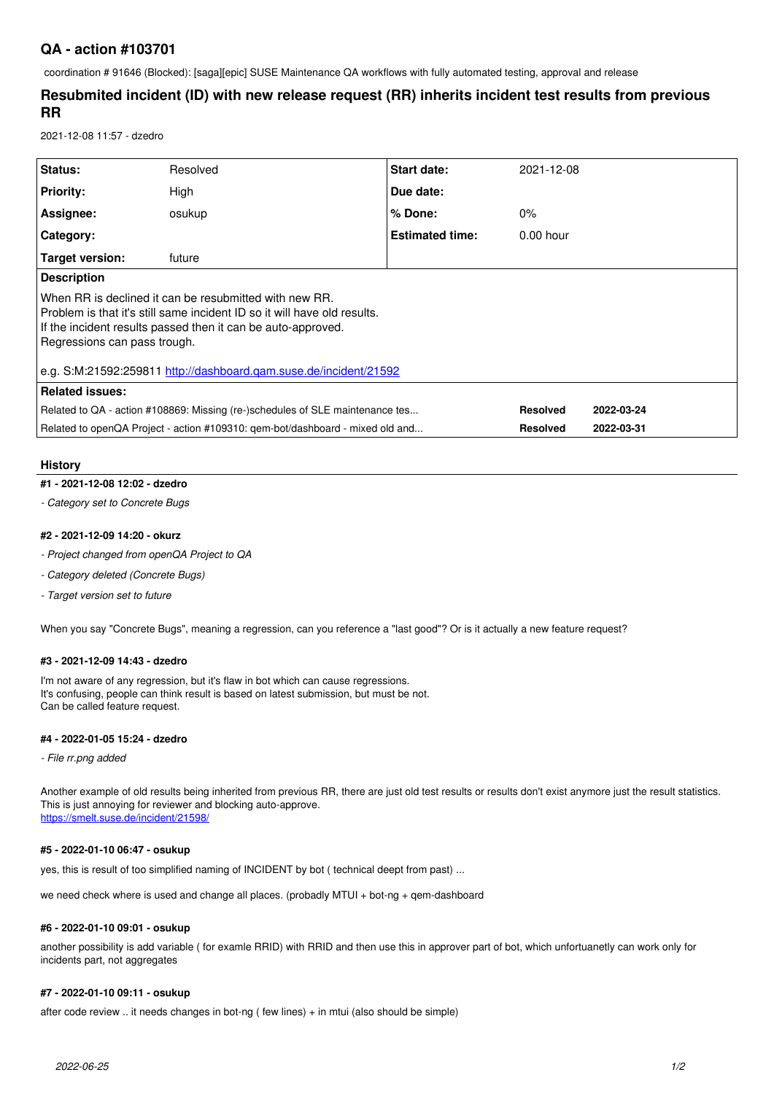# **QA - action #103701**

coordination # 91646 (Blocked): [saga][epic] SUSE Maintenance QA workflows with fully automated testing, approval and release

# **Resubmited incident (ID) with new release request (RR) inherits incident test results from previous RR**

2021-12-08 11:57 - dzedro

| Status:                                                                                                                                                                                                                              | Resolved | Start date:            | 2021-12-08      |            |  |  |
|--------------------------------------------------------------------------------------------------------------------------------------------------------------------------------------------------------------------------------------|----------|------------------------|-----------------|------------|--|--|
| Priority:                                                                                                                                                                                                                            | High     | Due date:              |                 |            |  |  |
| Assignee:                                                                                                                                                                                                                            | osukup   | $%$ Done:              | $0\%$           |            |  |  |
| Category:                                                                                                                                                                                                                            |          | <b>Estimated time:</b> | $0.00$ hour     |            |  |  |
| Target version:                                                                                                                                                                                                                      | future   |                        |                 |            |  |  |
| <b>Description</b>                                                                                                                                                                                                                   |          |                        |                 |            |  |  |
| When RR is declined it can be resubmitted with new RR.<br>l Problem is that it's still same incident ID so it will have old results.<br>If the incident results passed then it can be auto-approved.<br>Regressions can pass trough. |          |                        |                 |            |  |  |
| e.g. S:M:21592:259811 http://dashboard.gam.suse.de/incident/21592                                                                                                                                                                    |          |                        |                 |            |  |  |
| <b>Related issues:</b>                                                                                                                                                                                                               |          |                        |                 |            |  |  |
| Related to QA - action #108869: Missing (re-)schedules of SLE maintenance tes                                                                                                                                                        |          |                        | <b>Resolved</b> | 2022-03-24 |  |  |
| Related to openQA Project - action #109310: gem-bot/dashboard - mixed old and                                                                                                                                                        |          |                        | <b>Resolved</b> | 2022-03-31 |  |  |
|                                                                                                                                                                                                                                      |          |                        |                 |            |  |  |

## **History**

## **#1 - 2021-12-08 12:02 - dzedro**

*- Category set to Concrete Bugs*

#### **#2 - 2021-12-09 14:20 - okurz**

- *Project changed from openQA Project to QA*
- *Category deleted (Concrete Bugs)*
- *Target version set to future*

When you say "Concrete Bugs", meaning a regression, can you reference a "last good"? Or is it actually a new feature request?

#### **#3 - 2021-12-09 14:43 - dzedro**

I'm not aware of any regression, but it's flaw in bot which can cause regressions. It's confusing, people can think result is based on latest submission, but must be not. Can be called feature request.

#### **#4 - 2022-01-05 15:24 - dzedro**

## *- File rr.png added*

Another example of old results being inherited from previous RR, there are just old test results or results don't exist anymore just the result statistics. This is just annoying for reviewer and blocking auto-approve. <https://smelt.suse.de/incident/21598/>

## **#5 - 2022-01-10 06:47 - osukup**

yes, this is result of too simplified naming of INCIDENT by bot ( technical deept from past) ...

we need check where is used and change all places. (probadly MTUI + bot-ng + qem-dashboard

#### **#6 - 2022-01-10 09:01 - osukup**

another possibility is add variable ( for examle RRID) with RRID and then use this in approver part of bot, which unfortuanetly can work only for incidents part, not aggregates

### **#7 - 2022-01-10 09:11 - osukup**

after code review .. it needs changes in bot-ng ( few lines) + in mtui (also should be simple)